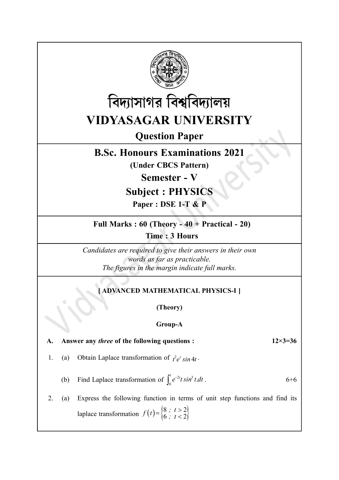



# Question Paper

## B.Sc. Honours Examinations 2021

(Under CBCS Pattern)

Semester - V

# Subject : PHYSICS

Paper : DSE 1-T & P

Full Marks : 60 (Theory - 40 + Practical - 20)

Time : 3 Hours

Candidates are required to give their answers in their own words as far as practicable. The figures in the margin indicate full marks.

## [ ADVANCED MATHEMATICAL PHYSICS-I ]

(Theory)

#### Group-A

A. Answer any *three* of the following questions :  $12 \times 3 = 36$ 

1. (a) Obtain Laplace transformation of  $t^2 e^t \sin 4t$ .

(b) Find Laplace transformation of  $\int_0^t e^{-2t} t \sin^3 t \, dt$ 0  $6+6$ 

2. (a) Express the following function in terms of unit step functions and find its The figures in the margin indicate full marks.<br>
[ADVANCED MATHEMATICAL PHYSICS-I]<br>
(Theory)<br>
Group-A<br>
er any *three* of the following questions :<br>
<br>
Obtain Laplace transformation of  $\int_0^z e^{2t} \sin^2 t dt$ .<br>
Find Laplace tran  $f(t) = \begin{cases} 8 \; ; \; t > \\ 6 \; ; \; t < \end{cases}$  $8$ ;  $t > 2$  $6 ; t < 2$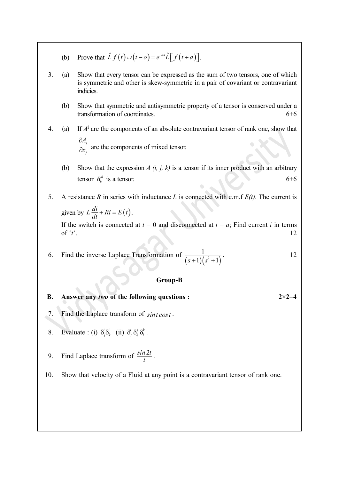- (b) Prove that  $\hat{L} f(t) \cup (t a) = e^{-as} \hat{L} [f(t + a)].$
- 3. (a) Show that every tensor can be expressed as the sum of two tensors, one of which is symmetric and other is skew-symmetric in a pair of covariant or contravariant indicies.
	- (b) Show that symmetric and antisymmetric property of a tensor is conserved under a transformation of coordinates. 6+6
- 4. (a) If  $A^i$  are the components of an absolute contravariant tensor of rank one, show that i j  $\overline{A}_{i}$  $\mathbf{x}$  $\partial$  $\frac{1}{\partial x_i}$  are the components of mixed tensor.
	- (b) Show that the expression  $A(i, j, k)$  is a tensor if its inner product with an arbitrary tensor  $B_k^{jl}$  is a tensor. 6+6
- 5. A resistance R in series with inductance L is connected with e.m.f  $E(t)$ . The current is (a) Show that every tensor can be expressed as the sum of two tensors, one of which<br>is symmetric and other is skew-symmetric in a pair of covariant or contravariant<br>indicies.<br>(b) Show that symmetric and antisymmetric prop If the switch is connected at  $t = 0$  and disconnected at  $t = a$ ; Find current i in terms of ' $t$ '. transformation of coordinates. 6+6<br>
4. (a) If  $A^i$  are the components of an absolute contravariant tensor of rank one, show that<br>  $\frac{\partial A_i}{\partial x_j}$  are the components of mixed tensor.<br>
(b) Show that the expression  $A(i, j, k)$
- 1  $\frac{1}{s^2+1}$ . . 12

#### Group-B

#### B. Answer any two of the following questions :  $2 \times 2 = 4$

- 7. Find the Laplace transform of  $\sin t \cos t$ .
- 8. Evaluate : (i)  $\delta_j^i \delta_k^i$  (ii)  $\delta_j^i \delta_k^j \delta_l^k$ .
- 9. Find Laplace transform of  $\frac{\sin 2t}{t}$ .  $\frac{2t}{\cdot}$ .
- 10. Show that velocity of a Fluid at any point is a contravariant tensor of rank one.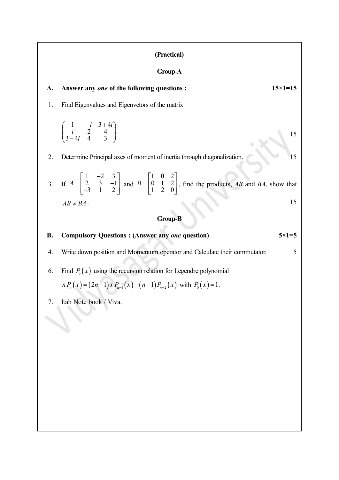#### (Practical)

#### Group-A

#### A. Answer any one of the following questions :  $15\times1=15$

1. Find Eigenvalues and Eigenvctors of the matrix

$$
\begin{pmatrix} 1 & -i & 3+4i \\ i & 2 & 4 \\ 3-4i & 4 & 3 \end{pmatrix}.
$$
 15

2. Determine Principal axes of moment of inertia through diagonalization. 15

3. If  $A$  $\begin{bmatrix} 1 & -2 & 3 \end{bmatrix}$  $=\begin{vmatrix} 1 & 1 & 1 \\ 2 & 3 & -1 \end{vmatrix}$  a  $\begin{bmatrix} 2 & 5 & 2 \ -3 & 1 & 2 \end{bmatrix}$  $1 \quad -2 \quad 3$ ]  $\begin{bmatrix} 2 & 3 & -1 \end{bmatrix}$  $\begin{vmatrix} 3 & 1 & 2 \end{vmatrix}$  and B  $\begin{bmatrix} 1 & 0 & 2 \end{bmatrix}$  $= \begin{vmatrix} 0 & 1 & 2 \end{vmatrix}$  $\begin{bmatrix} 0 & 1 & 2 \\ 1 & 2 & 0 \end{bmatrix}$  $1 \t 0 \t 2$  $\begin{bmatrix} 0 & 1 & 2 \end{bmatrix}$  $\begin{bmatrix} 0 & 1 & 2 \\ 1 & 2 & 0 \end{bmatrix}$ , find the products, *AB* and *BA*, show that  $AB \neq BA$  . 15

#### Group-B

# B. Compulsory Questions : (Answer any *one* question) 5×1=5 4. Write down position and Momentum operator and Calculate their commutator. 5

- 6. Find  $P_5(x)$  using the recursion relation for Legendre polynomial  $nP_n(x) = (2n-1)x P_{n-1}(x) - (n-1) P_{n-2}(x)$  with  $P_0(x) = 1$ .
- 7. Lab Note book / Viva.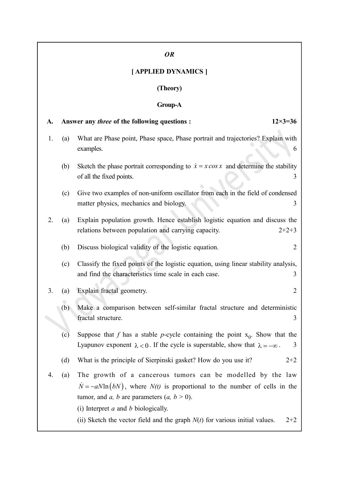## OR

## [ APPLIED DYNAMICS ]

## (Theory)

## Group-A

| A. | $12 \times 3 = 36$<br>Answer any <i>three</i> of the following questions :                            |                                                                                                                                                                                                                                                                                                                                                   |
|----|-------------------------------------------------------------------------------------------------------|---------------------------------------------------------------------------------------------------------------------------------------------------------------------------------------------------------------------------------------------------------------------------------------------------------------------------------------------------|
| 1. | (a)                                                                                                   | What are Phase point, Phase space, Phase portrait and trajectories? Explain with<br>examples.<br>6                                                                                                                                                                                                                                                |
|    | (b)                                                                                                   | Sketch the phase portrait corresponding to $\dot{x} = x \cos x$ and determine the stability<br>of all the fixed points.<br>3                                                                                                                                                                                                                      |
|    | (c)                                                                                                   | Give two examples of non-uniform oscillator from each in the field of condensed<br>matter physics, mechanics and biology.<br>3                                                                                                                                                                                                                    |
| 2. | (a)                                                                                                   | Explain population growth. Hence establish logistic equation and discuss the<br>relations between population and carrying capacity.<br>$2+2+3$                                                                                                                                                                                                    |
|    | (b)                                                                                                   | Discuss biological validity of the logistic equation.<br>2                                                                                                                                                                                                                                                                                        |
|    | (c)                                                                                                   | Classify the fixed points of the logistic equation, using linear stability analysis,<br>and find the characteristics time scale in each case.<br>3                                                                                                                                                                                                |
| 3. | (a)                                                                                                   | Explain fractal geometry.<br>$\overline{2}$                                                                                                                                                                                                                                                                                                       |
|    | Make a comparison between self-similar fractal structure and deterministic<br>fractal structure.<br>3 |                                                                                                                                                                                                                                                                                                                                                   |
|    | (c)                                                                                                   | Suppose that f has a stable p-cycle containing the point $x_0$ . Show that the<br>Lyapunov exponent $\lambda < 0$ . If the cycle is superstable, show that $\lambda = -\infty$ .<br>3                                                                                                                                                             |
|    | (d)                                                                                                   | What is the principle of Sierpinski gasket? How do you use it?<br>$2+2$                                                                                                                                                                                                                                                                           |
| 4. | (a)                                                                                                   | The growth of a cancerous tumors can be modelled by the law<br>$N = -aN\ln(bN)$ , where $N(t)$ is proportional to the number of cells in the<br>tumor, and <i>a</i> , <i>b</i> are parameters $(a, b > 0)$ .<br>(i) Interpret $a$ and $b$ biologically.<br>(ii) Sketch the vector field and the graph $N(t)$ for various initial values.<br>$2+2$ |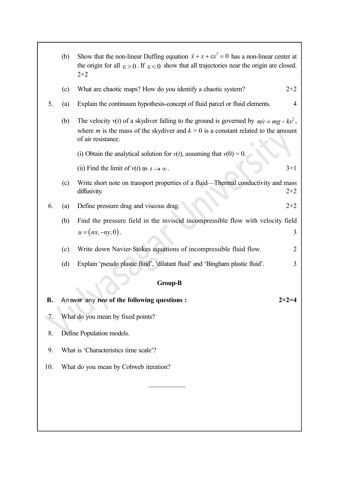|     | (b)                       | Show that the non-linear Duffing equation $\ddot{x} + x + \epsilon x^3 = 0$ has a non-linear center at<br>the origin for all $\epsilon > 0$ . If $\epsilon < 0$ show that all trajectories near the origin are closed.<br>$2 + 2$ |                  |  |
|-----|---------------------------|-----------------------------------------------------------------------------------------------------------------------------------------------------------------------------------------------------------------------------------|------------------|--|
|     | (c)                       | What are chaotic maps? How do you identify a chaotic system?                                                                                                                                                                      | $2 + 2$          |  |
| 5.  | (a)                       | Explain the continuum hypothesis-concept of fluid parcel or fluid elements.                                                                                                                                                       | 4                |  |
|     | (b)                       | The velocity $v(t)$ of a skydiver falling to the ground is governed by $mv = mg - kv^2$ ,<br>where <i>m</i> is the mass of the skydiver and $k > 0$ is a constant related to the amount<br>of air resistance.                     |                  |  |
|     |                           | (i) Obtain the analytical solution for $v(t)$ , assuming that $v(0) = 0$ .                                                                                                                                                        |                  |  |
|     |                           | (ii) Find the limit of $v(t)$ as $t \to \infty$ .                                                                                                                                                                                 | $3+1$            |  |
|     | (c)                       | Write short note on transport properties of a fluid-Thermal conductivity and mass<br>diffusivity.                                                                                                                                 | $2 + 2$          |  |
| 6.  | (a)                       | Define pressure drag and viscous drag.                                                                                                                                                                                            | $2 + 2$          |  |
|     | (b)                       | Find the pressure field in the inviscid incompressible flow with velocity field                                                                                                                                                   |                  |  |
|     |                           | $u = (nx, -ny, 0).$                                                                                                                                                                                                               | 3                |  |
|     | (c)                       | Write down Navier-Stokes equations of incompressible fluid flow.                                                                                                                                                                  | 2                |  |
|     | (d)                       | Explain 'pseudo plastic fluid', 'dilatant fluid' and 'Bingham plastic fluid'.                                                                                                                                                     | 3                |  |
|     |                           | <b>Group-B</b>                                                                                                                                                                                                                    |                  |  |
| В.  |                           | Answer any two of the following questions :                                                                                                                                                                                       | $2 \times 2 = 4$ |  |
| 7.  |                           | What do you mean by fixed points?                                                                                                                                                                                                 |                  |  |
| 8.  | Define Population models. |                                                                                                                                                                                                                                   |                  |  |
| 9.  |                           | What is 'Characteristics time scale'?                                                                                                                                                                                             |                  |  |
|     |                           |                                                                                                                                                                                                                                   |                  |  |
| 10. |                           | What do you mean by Cobweb iteration?                                                                                                                                                                                             |                  |  |
|     |                           |                                                                                                                                                                                                                                   |                  |  |
|     |                           |                                                                                                                                                                                                                                   |                  |  |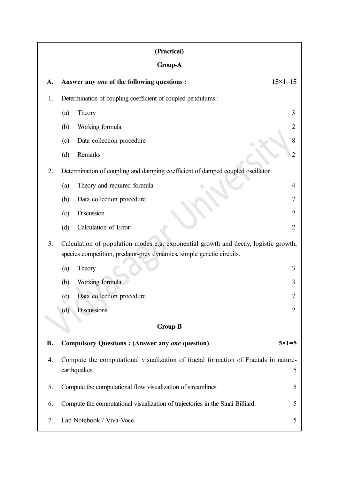| (Practical) |                                                                                                                                                              |                    |  |  |  |
|-------------|--------------------------------------------------------------------------------------------------------------------------------------------------------------|--------------------|--|--|--|
| Group-A     |                                                                                                                                                              |                    |  |  |  |
| A.          | Answer any one of the following questions :                                                                                                                  | $15 \times 1 = 15$ |  |  |  |
| 1.          | Determination of coupling coefficient of coupled pendulums :                                                                                                 |                    |  |  |  |
|             | Theory<br>(a)                                                                                                                                                | 3                  |  |  |  |
|             | Working formula<br>(b)                                                                                                                                       | $\overline{2}$     |  |  |  |
|             | Data collection procedure<br>(c)                                                                                                                             | 8                  |  |  |  |
|             | Remarks<br>(d)                                                                                                                                               | $\overline{2}$     |  |  |  |
| 2.          | Determination of coupling and damping coefficient of damped coupled oscillator.                                                                              |                    |  |  |  |
|             | Theory and required formula<br>(a)                                                                                                                           | 4                  |  |  |  |
|             | Data collection procedure<br>(b)                                                                                                                             | 7                  |  |  |  |
|             | Discussion<br>(c)                                                                                                                                            | $\overline{2}$     |  |  |  |
|             | Calculation of Error<br>(d)                                                                                                                                  | $\overline{2}$     |  |  |  |
| 3.          | Calculation of population modes e.g. exponential growth and decay, logistic growth,<br>species competition, predator-prey dynamics, simple genetic circuits. |                    |  |  |  |
|             | Theory<br>(a)                                                                                                                                                | 3                  |  |  |  |
|             | Working formula<br>(b)                                                                                                                                       | 3                  |  |  |  |
|             | Data collection procedure<br>(c)                                                                                                                             | 7                  |  |  |  |
|             | <b>Discussions</b><br>(d)                                                                                                                                    | $\overline{2}$     |  |  |  |
|             | <b>Group-B</b>                                                                                                                                               |                    |  |  |  |
| <b>B.</b>   | <b>Compulsory Questions: (Answer any one question)</b>                                                                                                       | $5 \times 1 = 5$   |  |  |  |
| 4.          | Compute the computational visualization of fractal formation of Fractals in nature-<br>earthquakes.<br>5                                                     |                    |  |  |  |
| 5.          | Compute the computational flow visualization of streamlines.<br>5                                                                                            |                    |  |  |  |
| 6.          | Compute the computational visualization of trajectories in the Sinai Billiard.<br>5                                                                          |                    |  |  |  |
| 7.          | Lab Notebook / Viva-Voce.                                                                                                                                    | 5                  |  |  |  |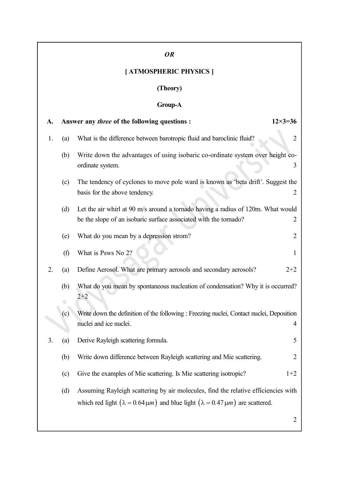# OR [ ATMOSPHERIC PHYSICS ] (Theory) Group-A A. Answer any *three* of the following questions :  $12 \times 3 = 36$ 1. (a) What is the difference between barotropic fluid and baroclinic fluid? 2 (b) Write down the advantages of using isobaric co-ordinate system over height coordinate system. 3 (c) The tendency of cyclones to move pole ward is known as 'beta drift'. Suggest the basis for the above tendency. (d) Let the air whirl at 90 m/s around a tornado having a radius of 120m. What would be the slope of an isobaric surface associated with the tornado? 2 (e) What do you mean by a depression strom? 2 (f) What is Psws No  $2$ ? 1 2. (a) Define Aerosol. What are primary aerosols and secondary aerosols? 2+2 (b) What do you mean by spontaneous nucleation of condensation? Why it is occurred?  $2+2$ (c) Write down the definition of the following : Freezing nuclei, Contact nuclei, Deposition nuclei and ice nuclei. 4 3. (a) Derive Rayleigh scattering formula. 5 (b) Write down difference between Rayleigh scattering and Mie scattering. 2 (c) Give the examples of Mie scattering. Is Mie scattering isotropic?  $1+2$ (d) Assuming Rayleigh scattering by air molecules, find the relative efficiencies with which red light  $(\lambda = 0.64 \mu m)$  and blue light  $(\lambda = 0.47 \mu m)$  are scattered. 2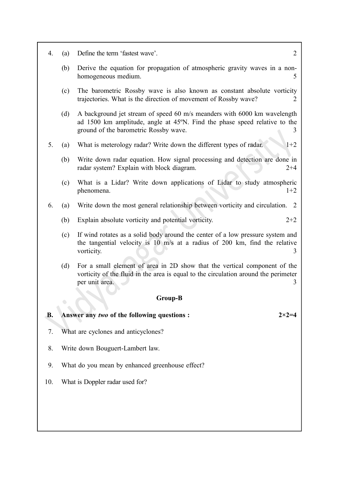| 4.        | (a) | $\overline{2}$<br>Define the term 'fastest wave'.                                                                                                                                              |
|-----------|-----|------------------------------------------------------------------------------------------------------------------------------------------------------------------------------------------------|
|           | (b) | Derive the equation for propagation of atmospheric gravity waves in a non-<br>homogeneous medium.<br>5                                                                                         |
|           | (c) | The barometric Rossby wave is also known as constant absolute vorticity<br>trajectories. What is the direction of movement of Rossby wave?<br>2                                                |
|           | (d) | A background jet stream of speed 60 m/s meanders with 6000 km wavelength<br>ad 1500 km amplitude, angle at 45°N. Find the phase speed relative to the<br>ground of the barometric Rossby wave. |
| 5.        | (a) | What is meterology radar? Write down the different types of radar.<br>$1+2$                                                                                                                    |
|           | (b) | Write down radar equation. How signal processing and detection are done in<br>radar system? Explain with block diagram.<br>$2 + 4$                                                             |
|           | (c) | What is a Lidar? Write down applications of Lidar to study atmospheric<br>$1+2$<br>phenomena.                                                                                                  |
| 6.        | (a) | Write down the most general relationship between vorticity and circulation. 2                                                                                                                  |
|           | (b) | Explain absolute vorticity and potential vorticity.<br>$2+2$                                                                                                                                   |
|           | (c) | If wind rotates as a solid body around the center of a low pressure system and<br>the tangential velocity is 10 m/s at a radius of 200 km, find the relative<br>vorticity.<br>3                |
|           | (d) | For a small element of area in 2D show that the vertical component of the<br>vorticity of the fluid in the area is equal to the circulation around the perimeter<br>per unit area.<br>3        |
|           |     | <b>Group-B</b>                                                                                                                                                                                 |
| <b>B.</b> |     | Answer any two of the following questions :<br>$2 \times 2 = 4$                                                                                                                                |
| 7.        |     | What are cyclones and anticyclones?                                                                                                                                                            |
|           |     |                                                                                                                                                                                                |
| 8.        |     | Write down Bouguert-Lambert law.                                                                                                                                                               |
| 9.        |     | What do you mean by enhanced greenhouse effect?                                                                                                                                                |

٦

10. What is Doppler radar used for?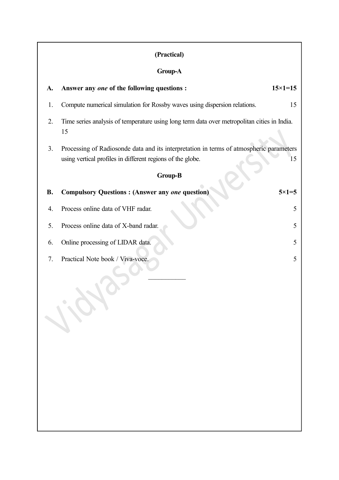## (Practical)

## Group-A

| A.        | Answer any one of the following questions :                                                                                                           | $15 \times 1 = 15$ |
|-----------|-------------------------------------------------------------------------------------------------------------------------------------------------------|--------------------|
| 1.        | Compute numerical simulation for Rossby waves using dispersion relations.                                                                             | 15                 |
| 2.        | Time series analysis of temperature using long term data over metropolitan cities in India.<br>15                                                     |                    |
| 3.        | Processing of Radiosonde data and its interpretation in terms of atmospheric parameters<br>using vertical profiles in different regions of the globe. | 15                 |
|           | <b>Group-B</b>                                                                                                                                        |                    |
| <b>B.</b> | <b>Compulsory Questions: (Answer any one question)</b>                                                                                                | $5 \times 1 = 5$   |
| 4.        | Process online data of VHF radar.                                                                                                                     | 5                  |
| 5.        | Process online data of X-band radar.                                                                                                                  | 5                  |
| 6.        | Online processing of LIDAR data.                                                                                                                      | 5                  |
| 7.        | Practical Note book / Viva-voce.                                                                                                                      | 5                  |
|           |                                                                                                                                                       |                    |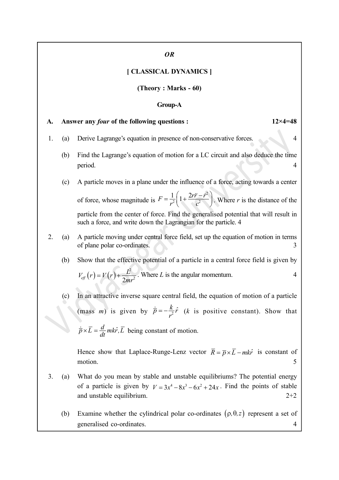#### OR

## [ CLASSICAL DYNAMICS ]

(Theory : Marks - 60)

## Group-A

\n- \n**A. Answer any *four* of the following questions:**\n
	\n- 12×4=48
	\n- 1. (a) Derive Lagrange's equation in presence of non-conservative forces.
	\n- (b) Find the Lagrange's equation of motion for a LC circuit and also deduce the time period.
	\n- (c) A particle moves in a plane under the influence of a force, acting towards a center of force, whose magnitude is 
	$$
	F = \frac{1}{r^2} \left( 1 + \frac{2r\ddot{r} - r^2}{c^2} \right)
	$$
	. Where *r* is the distance of the particle from the center of force, find the generalised potential that will result in such a force, and write down the Lagrangian for the particle. 4
	\n- \n**2.**\n
		\n- (a) A particle moving under central force field, set up the equation of motion in terms of plane polar co-ordinates.
		\n- (b) Show that the effective potential of a particle in a central force field is given by  $V_{\text{eff}}(r) = V(r) + \frac{t^2}{2mr^2}$ . Where *L* is the angular momentum.
		\n- (c) In an attractive inverse square central field, the equation of motion of a particle (mass *m*) is given by  $\vec{p} = -\frac{k}{r^2} \hat{r}$  (k is positive constant). Show that  $\vec{p} \times \vec{L} = \frac{d}{dt} m k \hat{r}$ ,  $\vec{L}$  being constant of motion.
		\n\n
	\n- \n**3.**\n
		\n- (a) What do you mean by stable and unstable equilibrium? The potential energy of a particle is given by  $V = 3x^4 - 8x^3 - 6x^2 + 24x$ . Find the points of stable and unstable equilibrium.
		\n- (b) Examine whether the cylindrical polar co-ordinates  $(p, \theta, z)$  represent a set of generalised co-ordinates.
		\n\n
	\n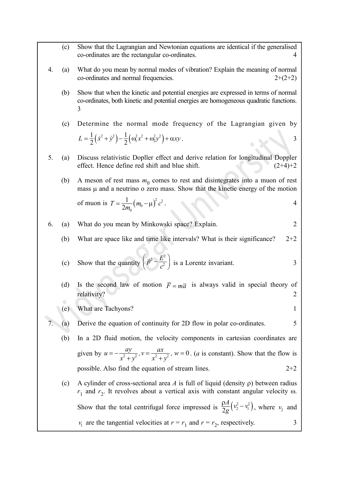- (c) Show that the Lagrangian and Newtonian equations are identical if the generalised co-ordinates are the rectangular co-ordinates. 4
- 4. (a) What do you mean by normal modes of vibration? Explain the meaning of normal  $\text{co-ordinates and normal frequencies.}$  2+(2+2)
	- (b) Show that when the kinetic and potential energies are expressed in terms of normal co-ordinates, both kinetic and potential energies are homogeneous quadratic functions. 3
- (c) Determine the normal mode frequency of the Lagrangian given by Show that the Lagrangian and Newtonian equations are identical if the generalised<br>co-ordinates are the rectangular co-ordinates.<br>What do you mean by normal modes of vibration? Explain the meaning of normal<br>co-ordinates an  $\frac{1}{2}(\dot{x}^2 + \dot{y}^2) - \frac{1}{2}(\omega_1^2 x^2 + \omega_2^2 y^2) + \alpha x y$ . co-ordinates are the rectangular co-ordinates.<br>
What do you mean by normal modes of vibration? Explain the meaning of normal<br>
co-ordinates and normal frequencies.<br>
Show that when the kinetic and potential energies are exp
- 5. (a) Discuss relativistic Dopller effect and derive relation for longitudinal Doppler effect. Hence define red shift and blue shift.  $(2+4)+2$ 
	- (b) A meson of rest mass  $m_0$  comes to rest and disintegrates into a muon of rest mass  $\mu$  and a neutrino o zero mass. Show that the kinetic energy of the motion

f muon is 
$$
T = \frac{1}{2m_0} (m_0 - \mu)^2 c^2
$$
.

6. (a) What do you mean by Minkowski space? Explain. 
$$
2 \mid
$$

(b) What are space like and time like intervals? What is their significance?  $2+2$ 

(c) Show that the quantity 
$$
\left(\vec{p}^2 - \frac{E^2}{c^2}\right)
$$
 is a Lorentz invariant.

- (d) Is the second law of motion  $\bar{F} = m\bar{a}$  is always valid in special theory of  $relativity?$  2
- (e) What are Tachyons?

#### (a) Derive the equation of continuity for 2D flow in polar co-ordinates. 5

- (b) In a 2D fluid motion, the velocity components in cartesian coordinates are given by  $u = -\frac{dy}{2}$ ,  $v = \frac{dx}{2}$ ,  $w =$  $\frac{x^2}{y^2+y^2}$ ,  $v = \frac{y^2}{x^2+y^2}$ ,  $=-\frac{ay}{x^2+y^2}$ ,  $v=\frac{ax}{x^2+y^2}$ ,  $w=0$ . (*a* is constant). Show that the flow is possible. Also find the equation of stream lines. 2+2
- (c) A cylinder of cross-sectional area A is full of liquid (density  $\rho$ ) between radius  $r_1$  and  $r_2$ . It revolves about a vertical axis with constant angular velocity  $\omega$ . Show that the quantity  $\left(\vec{P} - \frac{E^2}{e^2}\right)$  is a Lorentz invariant.<br>
Is the second law of motion  $\vec{F} = m\vec{a}$  is always valid in special theory of relativity?<br>
What are Tachyons?<br>
Derive the equation of continuity fo  $\frac{A}{g}\left(v_2^2-v_1^2\right)$  $\frac{\rho A}{2} (v_2^2 - v_1^2)$  $\frac{\rho_{11}}{2g}$  ( $v_2^2 - v_1^2$ ), where  $v_2$  and  $v_1$  are the tangential velocities at  $r = r_1$  and  $r = r_2$ , respectively. 3